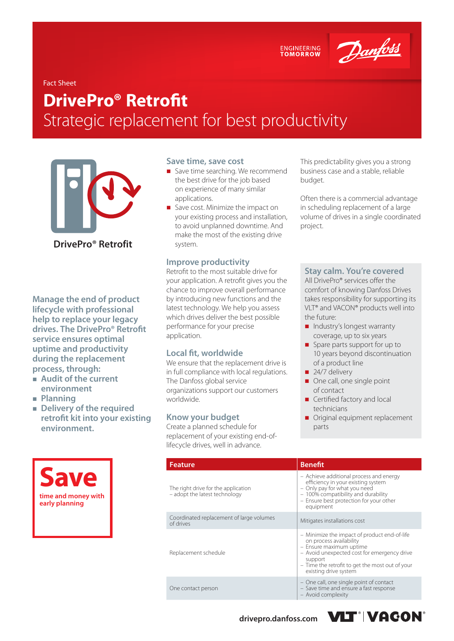ENGINEERING<br>TOMORROW

Danfoss

#### Fact Sheet

# **DrivePro® Retrofit** Strategic replacement for best productivity



**DrivePro® Retrofit**

**Manage the end of product lifecycle with professional help to replace your legacy drives. The DrivePro® Retrofit service ensures optimal uptime and productivity during the replacement process, through:**

- **Audit of the current environment**
- **Planning**
- **Delivery of the required retrofit kit into your existing environment.**



#### **Save time, save cost**

- Save time searching. We recommend the best drive for the job based on experience of many similar applications.
- Save cost. Minimize the impact on your existing process and installation, to avoid unplanned downtime. And make the most of the existing drive system.

### **Improve productivity**

Retrofit to the most suitable drive for your application. A retrofit gives you the chance to improve overall performance by introducing new functions and the latest technology. We help you assess which drives deliver the best possible performance for your precise application.

### **Local fit, worldwide**

We ensure that the replacement drive is in full compliance with local regulations. The Danfoss global service organizations support our customers worldwide.

#### **Know your budget**

Create a planned schedule for replacement of your existing end-oflifecycle drives, well in advance.

This predictability gives you a strong business case and a stable, reliable budget.

Often there is a commercial advantage in scheduling replacement of a large volume of drives in a single coordinated project.

#### **Stay calm. You're covered**

All DrivePro® services offer the comfort of knowing Danfoss Drives takes responsibility for supporting its VLT® and VACON® products well into the future:

- Industry's longest warranty coverage, up to six years
- Spare parts support for up to 10 years beyond discontinuation of a product line
- 24/7 delivery
- One call, one single point of contact
- Certified factory and local technicians
- Original equipment replacement parts

| <b>Feature</b>                                                       | <b>Benefit</b>                                                                                                                                                                                                                           |  |  |  |
|----------------------------------------------------------------------|------------------------------------------------------------------------------------------------------------------------------------------------------------------------------------------------------------------------------------------|--|--|--|
| The right drive for the application<br>- adopt the latest technology | - Achieve additional process and energy<br>efficiency in your existing system<br>- Only pay for what you need<br>- 100% compatibility and durability<br>- Ensure best protection for your other<br>equipment                             |  |  |  |
| Coordinated replacement of large volumes<br>of drives                | Mitigates installations cost                                                                                                                                                                                                             |  |  |  |
| Replacement schedule                                                 | - Minimize the impact of product end-of-life<br>on process availability<br>- Ensure maximum uptime<br>- Avoid unexpected cost for emergency drive<br>support<br>- Time the retrofit to get the most out of your<br>existing drive system |  |  |  |
| One contact person                                                   | - One call, one single point of contact<br>- Save time and ensure a fast response<br>- Avoid complexity                                                                                                                                  |  |  |  |